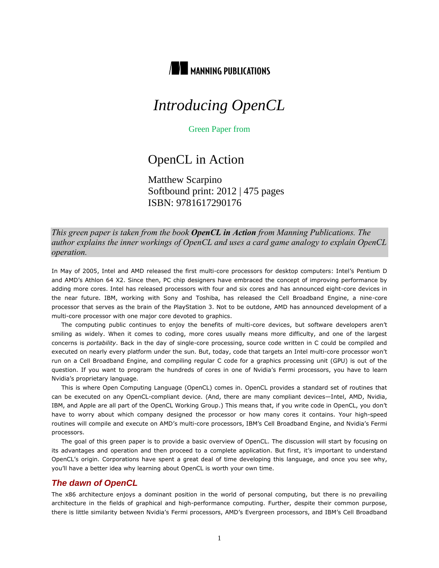

# *Introducing OpenCL*

Green Paper from

# OpenCL in Action

Matthew Scarpino Softbound print: 2012 | 475 pages ISBN: 9781617290176

*This green paper is taken from the book OpenCL in Action from Manning Publications. The author explains the inner workings of OpenCL and uses a card game analogy to explain OpenCL operation.*

In May of 2005, Intel and AMD released the first multi-core processors for desktop computers: Intel's Pentium D and AMD's Athlon 64 X2. Since then, PC chip designers have embraced the concept of improving performance by adding more cores. Intel has released processors with four and six cores and has announced eight-core devices in the near future. IBM, working with Sony and Toshiba, has released the Cell Broadband Engine, a nine-core processor that serves as the brain of the PlayStation 3. Not to be outdone, AMD has announced development of a multi-core processor with one major core devoted to graphics.

The computing public continues to enjoy the benefits of multi-core devices, but software developers aren't smiling as widely. When it comes to coding, more cores usually means more difficulty, and one of the largest concerns is *portability*. Back in the day of single-core processing, source code written in C could be compiled and executed on nearly every platform under the sun. But, today, code that targets an Intel multi-core processor won't run on a Cell Broadband Engine, and compiling regular C code for a graphics processing unit (GPU) is out of the question. If you want to program the hundreds of cores in one of Nvidia's Fermi processors, you have to learn Nvidia's proprietary language.

This is where Open Computing Language (OpenCL) comes in. OpenCL provides a standard set of routines that can be executed on any OpenCL-compliant device. (And, there are many compliant devices—Intel, AMD, Nvidia, IBM, and Apple are all part of the OpenCL Working Group.) This means that, if you write code in OpenCL, you don't have to worry about which company designed the processor or how many cores it contains. Your high-speed routines will compile and execute on AMD's multi-core processors, IBM's Cell Broadband Engine, and Nvidia's Fermi processors.

The goal of this green paper is to provide a basic overview of OpenCL. The discussion will start by focusing on its advantages and operation and then proceed to a complete application. But first, it's important to understand OpenCL's origin. Corporations have spent a great deal of time developing this language, and once you see why, you'll have a better idea why learning about OpenCL is worth your own time.

# *The dawn of OpenCL*

The x86 architecture enjoys a dominant position in the world of personal computing, but there is no prevailing architecture in the fields of graphical and high-performance computing. Further, despite their common purpose, there is little similarity between Nvidia's Fermi processors, AMD's Evergreen processors, and IBM's Cell Broadband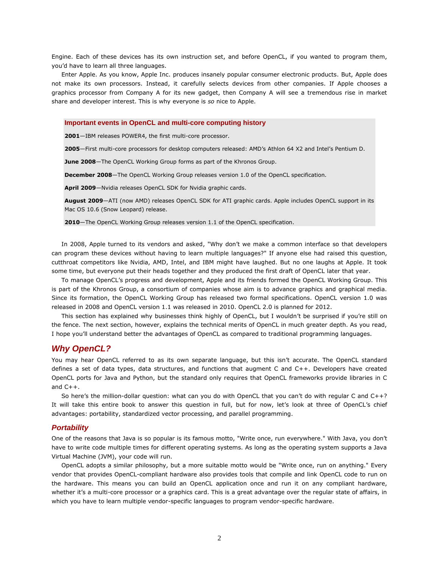Engine. Each of these devices has its own instruction set, and before OpenCL, if you wanted to program them, you'd have to learn all three languages.

Enter Apple. As you know, Apple Inc. produces insanely popular consumer electronic products. But, Apple does not make its own processors. Instead, it carefully selects devices from other companies. If Apple chooses a graphics processor from Company A for its new gadget, then Company A will see a tremendous rise in market share and developer interest. This is why everyone is *so* nice to Apple.

#### **Important events in OpenCL and multi-core computing history**

**2001**—IBM releases POWER4, the first multi-core processor.

**2005**—First multi-core processors for desktop computers released: AMD's Athlon 64 X2 and Intel's Pentium D.

**June 2008**—The OpenCL Working Group forms as part of the Khronos Group.

**December 2008**—The OpenCL Working Group releases version 1.0 of the OpenCL specification.

**April 2009**—Nvidia releases OpenCL SDK for Nvidia graphic cards.

**August 2009**—ATI (now AMD) releases OpenCL SDK for ATI graphic cards. Apple includes OpenCL support in its Mac OS 10.6 (Snow Leopard) release.

**2010**—The OpenCL Working Group releases version 1.1 of the OpenCL specification.

In 2008, Apple turned to its vendors and asked, "Why don't we make a common interface so that developers can program these devices without having to learn multiple languages?" If anyone else had raised this question, cutthroat competitors like Nvidia, AMD, Intel, and IBM might have laughed. But no one laughs at Apple. It took some time, but everyone put their heads together and they produced the first draft of OpenCL later that year.

To manage OpenCL's progress and development, Apple and its friends formed the OpenCL Working Group. This is part of the Khronos Group, a consortium of companies whose aim is to advance graphics and graphical media. Since its formation, the OpenCL Working Group has released two formal specifications. OpenCL version 1.0 was released in 2008 and OpenCL version 1.1 was released in 2010. OpenCL 2.0 is planned for 2012.

This section has explained why businesses think highly of OpenCL, but I wouldn't be surprised if you're still on the fence. The next section, however, explains the technical merits of OpenCL in much greater depth. As you read, I hope you'll understand better the advantages of OpenCL as compared to traditional programming languages.

#### *Why OpenCL?*

You may hear OpenCL referred to as its own separate language, but this isn't accurate. The OpenCL standard defines a set of data types, data structures, and functions that augment C and C++. Developers have created OpenCL ports for Java and Python, but the standard only requires that OpenCL frameworks provide libraries in C and C++.

So here's the million-dollar question: what can you do with OpenCL that you can't do with regular C and C++? It will take this entire book to answer this question in full, but for now, let's look at three of OpenCL's chief advantages: portability, standardized vector processing, and parallel programming.

#### *Portability*

One of the reasons that Java is so popular is its famous motto, "Write once, run everywhere." With Java, you don't have to write code multiple times for different operating systems. As long as the operating system supports a Java Virtual Machine (JVM), your code will run.

OpenCL adopts a similar philosophy, but a more suitable motto would be "Write once, run on anything." Every vendor that provides OpenCL-compliant hardware also provides tools that compile and link OpenCL code to run on the hardware. This means you can build an OpenCL application once and run it on any compliant hardware, whether it's a multi-core processor or a graphics card. This is a great advantage over the regular state of affairs, in which you have to learn multiple vendor-specific languages to program vendor-specific hardware.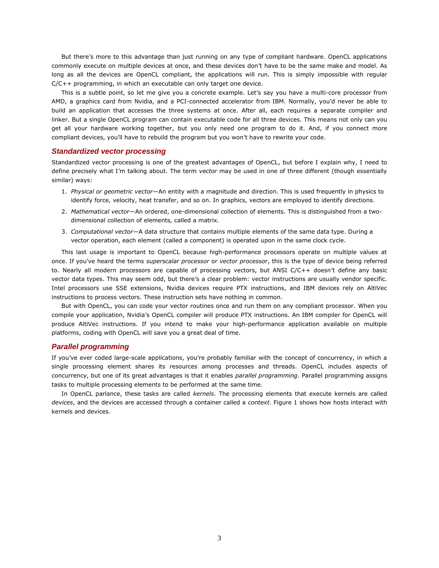But there's more to this advantage than just running on any type of compliant hardware. OpenCL applications commonly execute on multiple devices at once, and these devices don't have to be the same make and model. As long as all the devices are OpenCL compliant, the applications will run. This is simply impossible with regular C/C++ programming, in which an executable can only target one device.

This is a subtle point, so let me give you a concrete example. Let's say you have a multi-core processor from AMD, a graphics card from Nvidia, and a PCI-connected accelerator from IBM. Normally, you'd never be able to build an application that accesses the three systems at once. After all, each requires a separate compiler and linker. But a single OpenCL program can contain executable code for all three devices. This means not only can you get all your hardware working together, but you only need one program to do it. And, if you connect more compliant devices, you'll have to rebuild the program but you won't have to rewrite your code.

#### *Standardized vector processing*

Standardized vector processing is one of the greatest advantages of OpenCL, but before I explain why, I need to define precisely what I'm talking about. The term *vector* may be used in one of three different (though essentially similar) ways:

- 1. *Physical or geometric vector*—An entity with a magnitude and direction. This is used frequently in physics to identify force, velocity, heat transfer, and so on. In graphics, vectors are employed to identify directions.
- 2. *Mathematical vector*—An ordered, one-dimensional collection of elements. This is distinguished from a twodimensional collection of elements, called a matrix.
- 3. *Computational vector*—A data structure that contains multiple elements of the same data type. During a vector operation, each element (called a component) is operated upon in the same clock cycle.

This last usage is important to OpenCL because high-performance processors operate on multiple values at once. If you've heard the terms *superscalar processor* or *vector processor*, this is the type of device being referred to. Nearly all modern processors are capable of processing vectors, but ANSI C/C++ doesn't define any basic vector data types. This may seem odd, but there's a clear problem: vector instructions are usually vendor specific. Intel processors use SSE extensions, Nvidia devices require PTX instructions, and IBM devices rely on AltiVec instructions to process vectors. These instruction sets have nothing in common.

But with OpenCL, you can code your vector routines once and run them on any compliant processor. When you compile your application, Nvidia's OpenCL compiler will produce PTX instructions. An IBM compiler for OpenCL will produce AltiVec instructions. If you intend to make your high-performance application available on multiple platforms, coding with OpenCL will save you a great deal of time.

#### *Parallel programming*

If you've ever coded large-scale applications, you're probably familiar with the concept of concurrency, in which a single processing element shares its resources among processes and threads. OpenCL includes aspects of concurrency, but one of its great advantages is that it enables *parallel programming*. Parallel programming assigns tasks to multiple processing elements to be performed at the same time.

In OpenCL parlance, these tasks are called *kernels*. The processing elements that execute kernels are called *devices*, and the devices are accessed through a container called a *context*. Figure 1 shows how hosts interact with kernels and devices.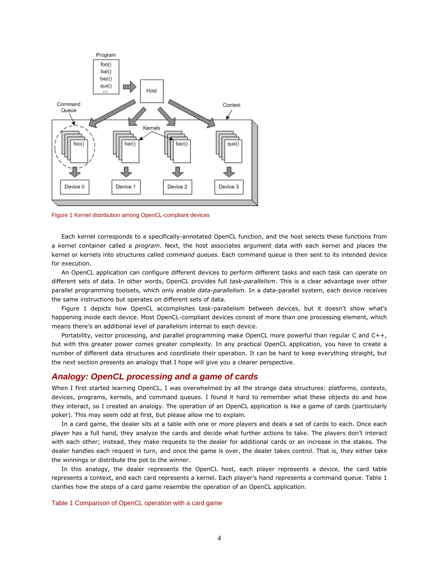

Figure 1 Kernel distribution among OpenCL-compliant devices

Each kernel corresponds to a specifically-annotated OpenCL function, and the host selects these functions from a kernel container called a *program*. Next, the host associates argument data with each kernel and places the kernel or kernels into structures called *command queues*. Each command queue is then sent to its intended device for execution.

An OpenCL application can configure different devices to perform different tasks and each task can operate on different sets of data. In other words, OpenCL provides full *task-parallelism*. This is a clear advantage over other parallel programming toolsets, which only enable *data-parallelism*. In a data-parallel system, each device receives the same instructions but operates on different sets of data.

Figure 1 depicts how OpenCL accomplishes task-parallelism between devices, but it doesn't show what's happening inside each device. Most OpenCL-compliant devices consist of more than one processing element, which means there's an additional level of parallelism internal to each device.

Portability, vector processing, and parallel programming make OpenCL more powerful than regular C and C++, but with this greater power comes greater complexity. In any practical OpenCL application, you have to create a number of different data structures and coordinate their operation. It can be hard to keep everything straight, but the next section presents an analogy that I hope will give you a clearer perspective.

#### *Analogy: OpenCL processing and a game of cards*

When I first started learning OpenCL, I was overwhelmed by all the strange data structures: platforms, contexts, devices, programs, kernels, and command queues. I found it hard to remember what these objects do and how they interact, so I created an analogy. The operation of an OpenCL application is like a game of cards (particularly poker). This may seem odd at first, but please allow me to explain.

In a card game, the dealer sits at a table with one or more players and deals a set of cards to each. Once each player has a full hand, they analyze the cards and decide what further actions to take. The players don't interact with each other; instead, they make requests to the dealer for additional cards or an increase in the stakes. The dealer handles each request in turn, and once the game is over, the dealer takes control. That is, they either take the winnings or distribute the pot to the winner.

In this analogy, the dealer represents the OpenCL host, each player represents a device, the card table represents a context, and each card represents a kernel. Each player's hand represents a command queue. Table 1 clarifies how the steps of a card game resemble the operation of an OpenCL application.

Table 1 Comparison of OpenCL operation with a card game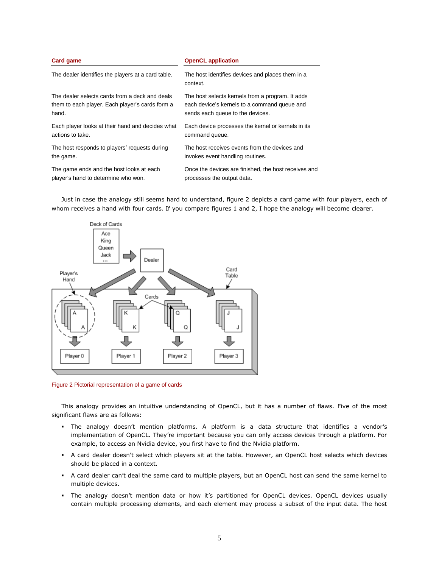| Card game                                          | <b>OpenCL application</b>                                    |  |  |  |  |
|----------------------------------------------------|--------------------------------------------------------------|--|--|--|--|
| The dealer identifies the players at a card table. | The host identifies devices and places them in a<br>context. |  |  |  |  |
| The dealer selects cards from a deck and deals     | The host selects kernels from a program. It adds             |  |  |  |  |
| them to each player. Each player's cards form a    | each device's kernels to a command queue and                 |  |  |  |  |
| hand.                                              | sends each queue to the devices.                             |  |  |  |  |
| Each player looks at their hand and decides what   | Each device processes the kernel or kernels in its           |  |  |  |  |
| actions to take.                                   | command queue.                                               |  |  |  |  |
| The host responds to players' requests during      | The host receives events from the devices and                |  |  |  |  |
| the game.                                          | invokes event handling routines.                             |  |  |  |  |
| The game ends and the host looks at each           | Once the devices are finished, the host receives and         |  |  |  |  |
| player's hand to determine who won.                | processes the output data.                                   |  |  |  |  |

Just in case the analogy still seems hard to understand, figure 2 depicts a card game with four players, each of whom receives a hand with four cards. If you compare figures 1 and 2, I hope the analogy will become clearer.



Figure 2 Pictorial representation of a game of cards

This analogy provides an intuitive understanding of OpenCL, but it has a number of flaws. Five of the most significant flaws are as follows:

- The analogy doesn't mention platforms. A platform is a data structure that identifies a vendor's implementation of OpenCL. They're important because you can only access devices through a platform. For example, to access an Nvidia device, you first have to find the Nvidia platform.
- A card dealer doesn't select which players sit at the table. However, an OpenCL host selects which devices should be placed in a context.
- A card dealer can't deal the same card to multiple players, but an OpenCL host can send the same kernel to multiple devices.
- The analogy doesn't mention data or how it's partitioned for OpenCL devices. OpenCL devices usually contain multiple processing elements, and each element may process a subset of the input data. The host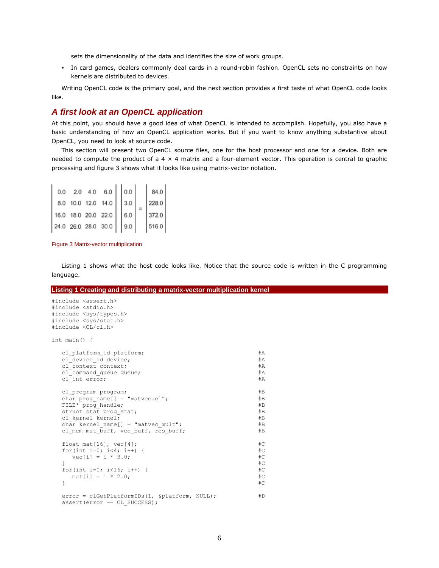sets the dimensionality of the data and identifies the size of work groups.

 In card games, dealers commonly deal cards in a round-robin fashion. OpenCL sets no constraints on how kernels are distributed to devices.

Writing OpenCL code is the primary goal, and the next section provides a first taste of what OpenCL code looks like.

### *A first look at an OpenCL application*

and the company of the company of

At this point, you should have a good idea of what OpenCL is intended to accomplish. Hopefully, you also have a basic understanding of how an OpenCL application works. But if you want to know anything substantive about OpenCL, you need to look at source code.

This section will present two OpenCL source files, one for the host processor and one for a device. Both are needed to compute the product of a  $4 \times 4$  matrix and a four-element vector. This operation is central to graphic processing and figure 3 shows what it looks like using matrix-vector notation.

| 0.0 | $2.0$ 4.0 | 6.0                 | 0.0 |  | 84.0  |
|-----|-----------|---------------------|-----|--|-------|
|     |           | 8.0 10.0 12.0 14.0  | 3.0 |  | 228.0 |
|     |           | 16.0 18.0 20.0 22.0 | 6.0 |  | 372.0 |
|     |           | 24.0 26.0 28.0 30.0 | 9.0 |  | 516.0 |

Figure 3 Matrix-vector multiplication

Listing 1 shows what the host code looks like. Notice that the source code is written in the C programming language.

#### **Listing 1 Creating and distributing a matrix-vector multiplication kernel**

#include <assert.h> #include <stdio.h> #include <sys/types.h> #include <sys/stat.h> #include <CL/cl.h>

int main() {

| cl platform id platform;                                                       | #A    |
|--------------------------------------------------------------------------------|-------|
| cl device id device;                                                           | #A    |
| cl context context;                                                            | #A    |
| cl command queue queue;                                                        | #A    |
| cl int error;                                                                  | #A    |
| cl program program;                                                            | #B    |
| char prog name [] = "matvec.cl";                                               | #B    |
| FILE* prog handle;                                                             | #B    |
|                                                                                | #B    |
| struct stat prog stat;                                                         |       |
| cl kernel kernel;                                                              | #B    |
| char kernel name $[$ ] = "matvec mult";                                        | #B    |
| cl mem mat buff, vec buff, res buff;                                           | #B    |
| float $mat[16]$ , $vec[4]$ ;                                                   | $\#C$ |
| for(int i=0; i<4; i++) {                                                       | #C    |
| $vec[i] = i * 3.0;$                                                            | #C    |
| ł                                                                              | #C    |
| for(int i=0; i<16; i++) {                                                      | #C    |
| $\text{mat}[i] = i * 2.0;$                                                     | $\#C$ |
| ł                                                                              | #C    |
|                                                                                |       |
| error = clGetPlatformIDs(1, &platform, NULL);<br>$assert(error == CL SUCCES);$ | #D    |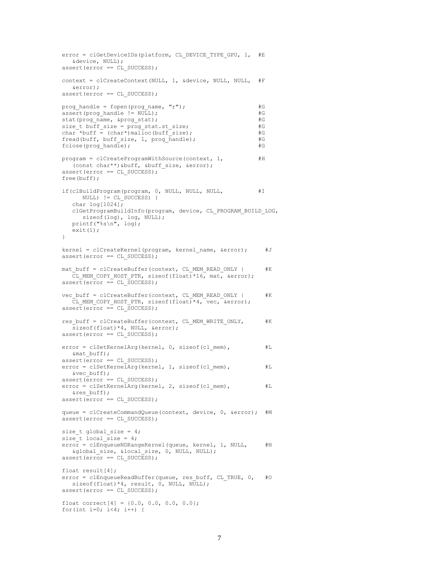```
error = clGetDeviceIDs(platform, CL DEVICE TYPE GPU, 1, #E
   &device, NULL);
assert(error == CL SUCCESS);
 context = clCreateContext(NULL, 1, &device, NULL, NULL, #F
   &error);
assert(error == CL SUCCESS);
 prog_handle = fopen(prog_name, "r"); #G
\overline{\text{assert}}(\text{prog handle } != \text{NULL}); \text{#G}stat(prog_name, &prog_stat); #G
size_t buff_size = prog_stat.st_size; #Gchar *buff = (char*) malloc(buff size); #Gfread(buff, buff size, 1, prog handle); #G fclose(prog_handle); #G
program = clCreateProgramWithSource(context, 1, #H
   (const char**)&buff, &buff_size, &error);
 assert(error == CL_SUCCESS);
 free(buff);
 if(clBuildProgram(program, 0, NULL, NULL, NULL, #I
      NULL) != CL_SUCCESS) {
   char log[1024];
   clGetProgramBuildInfo(program, device, CL_PROGRAM_BUILD_LOG, 
      sizeof(log), log, NULL);
    printf("%s\n", log); 
  exit(1); }
kernel = clCreateKernel(program, kernel name, &error); #J
 assert(error == CL_SUCCESS);
mat buff = clCreateBuffer(context, CL_MEM_READ_ONLY | #K
  CL MEM COPY HOST PTR, sizeof(float)*16, mat, &error);
\overline{\text{assert}}(error == CL SUCCESS);
vec buff = clCreateBuffer(context, CL_MEM_READ_ONLY | #K
  CL MEM COPY HOST PTR, sizeof(float)*4, vec, \overline{\text{``server)}};
\overline{\text{assert}}(\text{error} == \text{CL} \text{SUCCES});res buff = clCreateBuffer(context, CL_MEM_WRITE_ONLY, #K
   sizeof(float)*4, NULL, &error);
assert(error == CL SUCCESS);
error = clSetKernelArg(kernel, 0, sizeof(cl mem), #L
   &mat_buff);
\bar{a} assert (error == CL SUCCESS);
error = clSetKernelArg(kernel, 1, sizeof(cl mem), #L
   &vec_buff);
assert(error == CL SUCCESS);
error = clSetKernelArg(kernel, 2, sizeof(cl mem), #L
   &res_buff);
assert(error == CL SUCCESS);
 queue = clCreateCommandQueue(context, device, 0, &error); #M
assert(error == CL SUCCESS);
size t global size = 4;size_t local_size = 4;
error = clEnqueueNDRangeKernel(queue, kernel, 1, NULL, #N
   &global_size, &local_size, 0, NULL, NULL);
\overline{\text{assert}}(error == CL SUCCESS);
 float result[4];
error = clEnqueueReadBuffer(queue, res buff, CL TRUE, 0, #O
  sizeof(float)*4, result, 0, NULL, NULL);
assert(error == CL SUCCES);float correct[4] = \{0.0, 0.0, 0.0, 0.0\};
for(int i=0; i<4; i++) {
```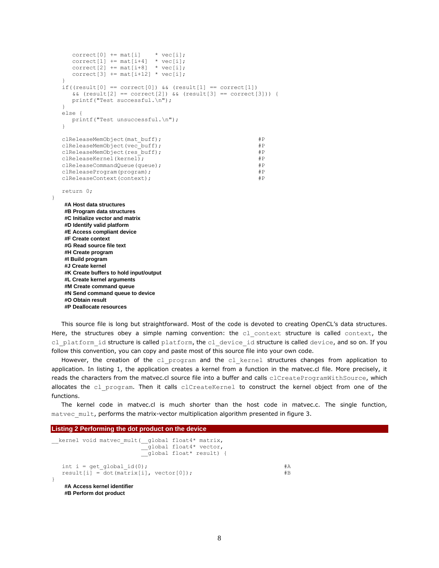```
correct[0] += mat[i] * vec[i];
     correct[1] += mat[i+4] \star vec[i];<br>correct[2] += mat[i+8] \star vec[i];
     correct[2] += mat[i+8]correct[3] += mat[i+12] * vec[i];
 }
  if((result[0] == correct[0]) & (result[1] == correct[1])&\& (result[2] == correct[2]) &\& (result[3] == correct[3])) {
      printf("Test successful.\n");
 }
   else {
      printf("Test unsuccessful.\n");
 }
  clReleaseMemObject(mat buff); #P clReleaseMemObject(vec_buff); #P
  clReleaseMemObject(res_buff); #P
  clReleaseKernel(kernel); \overline{p} clReleaseCommandQueue(queue); #P
   clReleaseProgram(program); #P
  clReleaseContext(context); \#P return 0;
   #A Host data structures
   #B Program data structures
   #C Initialize vector and matrix
   #D Identify valid platform
   #E Access compliant device
   #F Create context
   #G Read source file text 
   #H Create program
   #I Build program
   #J Create kernel
   #K Create buffers to hold input/output
   #L Create kernel arguments
   #M Create command queue
```

```
#N Send command queue to device
```

```
#O Obtain result
```
}

**#P Deallocate resources**

This source file is long but straightforward. Most of the code is devoted to creating OpenCL's data structures. Here, the structures obey a simple naming convention: the cl context structure is called context, the cl\_platform\_id structure is called platform, the cl\_device\_id structure is called device, and so on. If you follow this convention, you can copy and paste most of this source file into your own code.

However, the creation of the cl program and the cl kernel structures changes from application to application. In listing 1, the application creates a kernel from a function in the matvec.cl file. More precisely, it reads the characters from the matvec.cl source file into a buffer and calls clCreateProgramWithSource, which allocates the cl\_program. Then it calls clCreateKernel to construct the kernel object from one of the functions.

The kernel code in matvec.cl is much shorter than the host code in matvec.c. The single function, matvec mult, performs the matrix-vector multiplication algorithm presented in figure 3.

```
Listing 2 Performing the dot product on the device
```

```
kernel void matvec mult( global float4* matrix,
                      __global float4* vector,
                     __global float* result) {
  int i = get global id(0); #A
  result[i] = dot(matrix[i], vector[0]); #B
}
  #A Access kernel identifier
  #B Perform dot product
```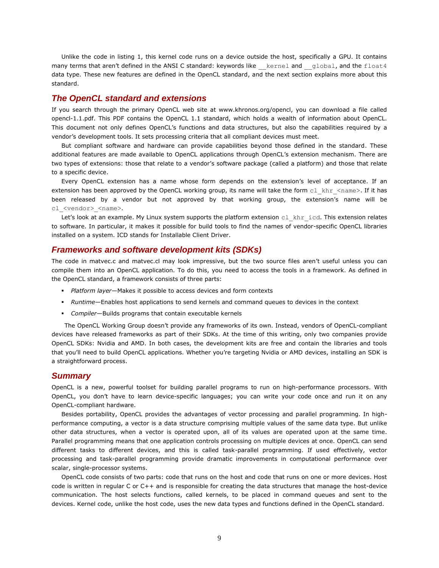Unlike the code in listing 1, this kernel code runs on a device outside the host, specifically a GPU. It contains many terms that aren't defined in the ANSI C standard: keywords like kernel and qlobal, and the float4 data type. These new features are defined in the OpenCL standard, and the next section explains more about this standard.

## *The OpenCL standard and extensions*

If you search through the primary OpenCL web site at www.khronos.org/opencl, you can download a file called opencl-1.1.pdf. This PDF contains the OpenCL 1.1 standard, which holds a wealth of information about OpenCL. This document not only defines OpenCL's functions and data structures, but also the capabilities required by a vendor's development tools. It sets processing criteria that all compliant devices must meet.

But compliant software and hardware can provide capabilities beyond those defined in the standard. These additional features are made available to OpenCL applications through OpenCL's extension mechanism. There are two types of extensions: those that relate to a vendor's software package (called a platform) and those that relate to a specific device.

Every OpenCL extension has a name whose form depends on the extension's level of acceptance. If an extension has been approved by the OpenCL working group, its name will take the form  $c1$  khr  $\leq$ name $\geq$ . If it has been released by a vendor but not approved by that working group, the extension's name will be cl <vendor> <name>.

Let's look at an example. My Linux system supports the platform extension cl\_khr\_icd. This extension relates to software. In particular, it makes it possible for build tools to find the names of vendor-specific OpenCL libraries installed on a system. ICD stands for Installable Client Driver.

# *Frameworks and software development kits (SDKs)*

The code in matvec.c and matvec.cl may look impressive, but the two source files aren't useful unless you can compile them into an OpenCL application. To do this, you need to access the tools in a framework. As defined in the OpenCL standard, a framework consists of three parts:

- *Platform layer*—Makes it possible to access devices and form contexts
- *Runtime*—Enables host applications to send kernels and command queues to devices in the context
- *Compiler*—Builds programs that contain executable kernels

The OpenCL Working Group doesn't provide any frameworks of its own. Instead, vendors of OpenCL-compliant devices have released frameworks as part of their SDKs. At the time of this writing, only two companies provide OpenCL SDKs: Nvidia and AMD. In both cases, the development kits are free and contain the libraries and tools that you'll need to build OpenCL applications. Whether you're targeting Nvidia or AMD devices, installing an SDK is a straightforward process.

#### *Summary*

OpenCL is a new, powerful toolset for building parallel programs to run on high-performance processors. With OpenCL, you don't have to learn device-specific languages; you can write your code once and run it on any OpenCL-compliant hardware.

Besides portability, OpenCL provides the advantages of vector processing and parallel programming. In highperformance computing, a vector is a data structure comprising multiple values of the same data type. But unlike other data structures, when a vector is operated upon, all of its values are operated upon at the same time. Parallel programming means that one application controls processing on multiple devices at once. OpenCL can send different tasks to different devices, and this is called task-parallel programming. If used effectively, vector processing and task-parallel programming provide dramatic improvements in computational performance over scalar, single-processor systems.

OpenCL code consists of two parts: code that runs on the host and code that runs on one or more devices. Host code is written in regular C or C++ and is responsible for creating the data structures that manage the host-device communication. The host selects functions, called kernels, to be placed in command queues and sent to the devices. Kernel code, unlike the host code, uses the new data types and functions defined in the OpenCL standard.